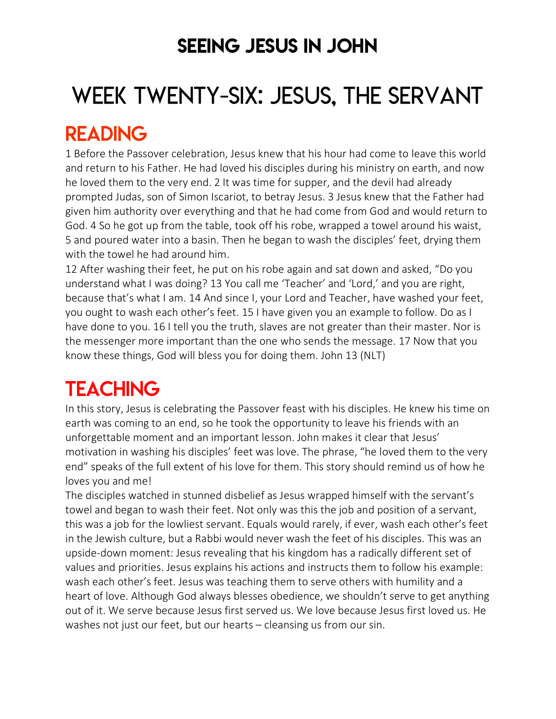### SEEING JESUS IN JOHN

# WEEK TWENTY-SIX: JESUS, THE SERVANT

### READING

1 Before the Passover celebration, Jesus knew that his hour had come to leave this world and return to his Father. He had loved his disciples during his ministry on earth, and now he loved them to the very end. 2 It was time for supper, and the devil had already prompted Judas, son of Simon Iscariot, to betray Jesus. 3 Jesus knew that the Father had given him authority over everything and that he had come from God and would return to God. 4 So he got up from the table, took off his robe, wrapped a towel around his waist, 5 and poured water into a basin. Then he began to wash the disciples' feet, drying them with the towel he had around him.

12 After washing their feet, he put on his robe again and sat down and asked, "Do you understand what I was doing? 13 You call me 'Teacher' and 'Lord,' and you are right, because that's what I am. 14 And since I, your Lord and Teacher, have washed your feet, you ought to wash each other's feet. 15 I have given you an example to follow. Do as I have done to you. 16 I tell you the truth, slaves are not greater than their master. Nor is the messenger more important than the one who sends the message. 17 Now that you know these things, God will bless you for doing them. John 13 (NLT)

# **TEACHING**

In this story, Jesus is celebrating the Passover feast with his disciples. He knew his time on earth was coming to an end, so he took the opportunity to leave his friends with an unforgettable moment and an important lesson. John makes it clear that Jesus' motivation in washing his disciples' feet was love. The phrase, "he loved them to the very end" speaks of the full extent of his love for them. This story should remind us of how he loves you and me!

The disciples watched in stunned disbelief as Jesus wrapped himself with the servant's towel and began to wash their feet. Not only was this the job and position of a servant, this was a job for the lowliest servant. Equals would rarely, if ever, wash each other's feet in the Jewish culture, but a Rabbi would never wash the feet of his disciples. This was an upside-down moment: Jesus revealing that his kingdom has a radically different set of values and priorities. Jesus explains his actions and instructs them to follow his example: wash each other's feet. Jesus was teaching them to serve others with humility and a heart of love. Although God always blesses obedience, we shouldn't serve to get anything out of it. We serve because Jesus first served us. We love because Jesus first loved us. He washes not just our feet, but our hearts – cleansing us from our sin.